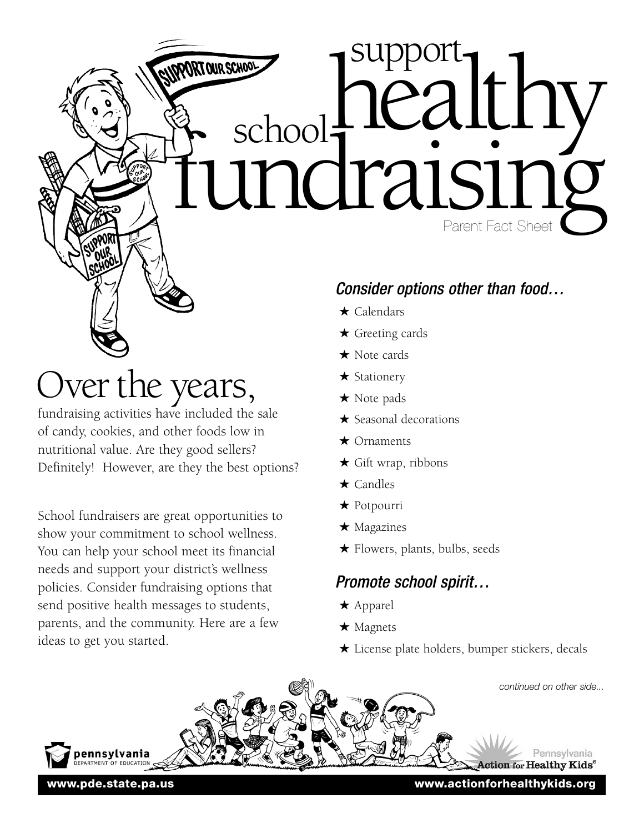**Health**<br>**Health** School **Paralth** 

# Over the years,

fundraising activities have included the sale of candy, cookies, and other foods low in nutritional value. Are they good sellers? Definitely! However, are they the best options?

School fundraisers are great opportunities to show your commitment to school wellness. You can help your school meet its financial needs and support your district's wellness policies. Consider fundraising options that send positive health messages to students, parents, and the community. Here are a few ideas to get you started.

## *Consider options other than food…*

★ Calendars

school:

★ Greeting cards

support

- ★ Note cards
- ★ Stationery
- ★ Note pads
- ★ Seasonal decorations
- ★ Ornaments
- $\star$  Gift wrap, ribbons
- ★ Candles
- ★ Potpourri
- ★ Magazines
- ★ Flowers, plants, bulbs, seeds

### *Promote school spirit…*

- ★ Apparel
- ★ Magnets
- ★ License plate holders, bumper stickers, decals



**www.pde.state.pa.us www.actionforhealthykids.org**